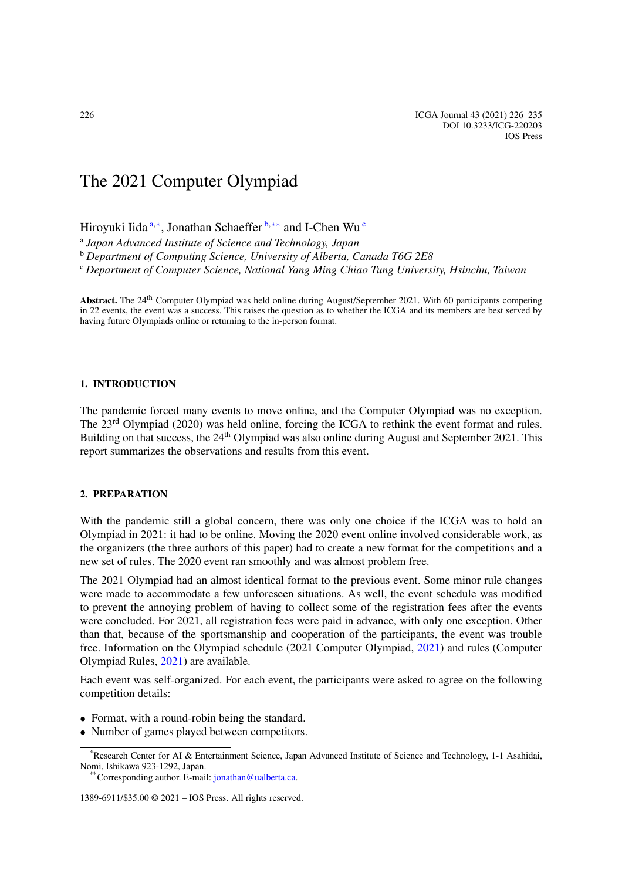# The 2021 Computer Olympiad

<span id="page-0-0"></span>Hiroyuki Iida [a](#page-0-0)*,*[∗](#page-0-1), Jonathan Schaeffer [b](#page-0-2)*,*[∗∗](#page-0-3) and I-Chen Wu [c](#page-0-4)

<span id="page-0-2"></span><sup>a</sup> *Japan Advanced Institute of Science and Technology, Japan*

<span id="page-0-4"></span><sup>b</sup> *Department of Computing Science, University of Alberta, Canada T6G 2E8*

<sup>c</sup> *Department of Computer Science, National Yang Ming Chiao Tung University, Hsinchu, Taiwan*

Abstract. The 24<sup>th</sup> Computer Olympiad was held online during August/September 2021. With 60 participants competing in 22 events, the event was a success. This raises the question as to whether the ICGA and its members are best served by having future Olympiads online or returning to the in-person format.

# **1. INTRODUCTION**

The pandemic forced many events to move online, and the Computer Olympiad was no exception. The 23<sup>rd</sup> Olympiad (2020) was held online, forcing the ICGA to rethink the event format and rules. Building on that success, the 24<sup>th</sup> Olympiad was also online during August and September 2021. This report summarizes the observations and results from this event.

### **2. PREPARATION**

With the pandemic still a global concern, there was only one choice if the ICGA was to hold an Olympiad in 2021: it had to be online. Moving the 2020 event online involved considerable work, as the organizers (the three authors of this paper) had to create a new format for the competitions and a new set of rules. The 2020 event ran smoothly and was almost problem free.

The 2021 Olympiad had an almost identical format to the previous event. Some minor rule changes were made to accommodate a few unforeseen situations. As well, the event schedule was modified to prevent the annoying problem of having to collect some of the registration fees after the events were concluded. For 2021, all registration fees were paid in advance, with only one exception. Other than that, because of the sportsmanship and cooperation of the participants, the event was trouble free. Information on the Olympiad schedule (2021 Computer Olympiad, [2021](#page-9-0)) and rules (Computer Olympiad Rules, [2021](#page-9-1)) are available.

Each event was self-organized. For each event, the participants were asked to agree on the following competition details:

- Format, with a round-robin being the standard.
- Number of games played between competitors.

1389-6911/\$35.00 © 2021 – IOS Press. All rights reserved.

<span id="page-0-1"></span><sup>\*</sup>Research Center for AI & Entertainment Science, Japan Advanced Institute of Science and Technology, 1-1 Asahidai, Nomi, Ishikawa 923-1292, Japan.

<span id="page-0-3"></span><sup>\*\*</sup>Corresponding author. E-mail: [jonathan@ualberta.ca.](mailto:jonathan@ualberta.ca)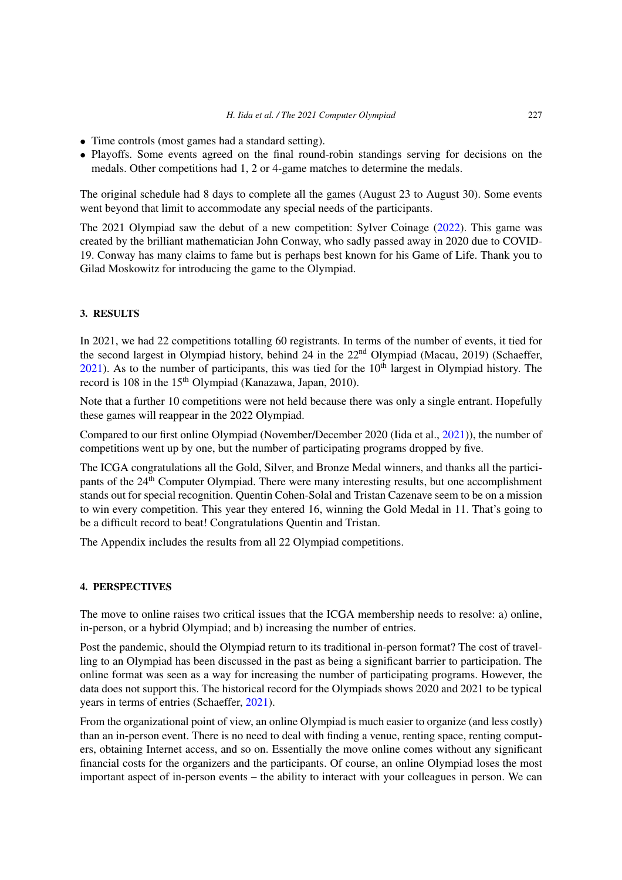- Time controls (most games had a standard setting).
- Playoffs. Some events agreed on the final round-robin standings serving for decisions on the medals. Other competitions had 1, 2 or 4-game matches to determine the medals.

The original schedule had 8 days to complete all the games (August 23 to August 30). Some events went beyond that limit to accommodate any special needs of the participants.

The 2021 Olympiad saw the debut of a new competition: Sylver Coinage [\(2022](#page-9-2)). This game was created by the brilliant mathematician John Conway, who sadly passed away in 2020 due to COVID-19. Conway has many claims to fame but is perhaps best known for his Game of Life. Thank you to Gilad Moskowitz for introducing the game to the Olympiad.

### **3. RESULTS**

In 2021, we had 22 competitions totalling 60 registrants. In terms of the number of events, it tied for the second largest in Olympiad history, behind 24 in the 22<sup>nd</sup> Olympiad (Macau, 2019) (Schaeffer,  $2021$ ). As to the number of participants, this was tied for the  $10<sup>th</sup>$  largest in Olympiad history. The record is 108 in the 15<sup>th</sup> Olympiad (Kanazawa, Japan, 2010).

Note that a further 10 competitions were not held because there was only a single entrant. Hopefully these games will reappear in the 2022 Olympiad.

Compared to our first online Olympiad (November/December 2020 (Iida et al., [2021](#page-9-4))), the number of competitions went up by one, but the number of participating programs dropped by five.

The ICGA congratulations all the Gold, Silver, and Bronze Medal winners, and thanks all the participants of the 24<sup>th</sup> Computer Olympiad. There were many interesting results, but one accomplishment stands out for special recognition. Quentin Cohen-Solal and Tristan Cazenave seem to be on a mission to win every competition. This year they entered 16, winning the Gold Medal in 11. That's going to be a difficult record to beat! Congratulations Quentin and Tristan.

The Appendix includes the results from all 22 Olympiad competitions.

#### **4. PERSPECTIVES**

The move to online raises two critical issues that the ICGA membership needs to resolve: a) online, in-person, or a hybrid Olympiad; and b) increasing the number of entries.

Post the pandemic, should the Olympiad return to its traditional in-person format? The cost of travelling to an Olympiad has been discussed in the past as being a significant barrier to participation. The online format was seen as a way for increasing the number of participating programs. However, the data does not support this. The historical record for the Olympiads shows 2020 and 2021 to be typical years in terms of entries (Schaeffer, [2021\)](#page-9-3).

From the organizational point of view, an online Olympiad is much easier to organize (and less costly) than an in-person event. There is no need to deal with finding a venue, renting space, renting computers, obtaining Internet access, and so on. Essentially the move online comes without any significant financial costs for the organizers and the participants. Of course, an online Olympiad loses the most important aspect of in-person events – the ability to interact with your colleagues in person. We can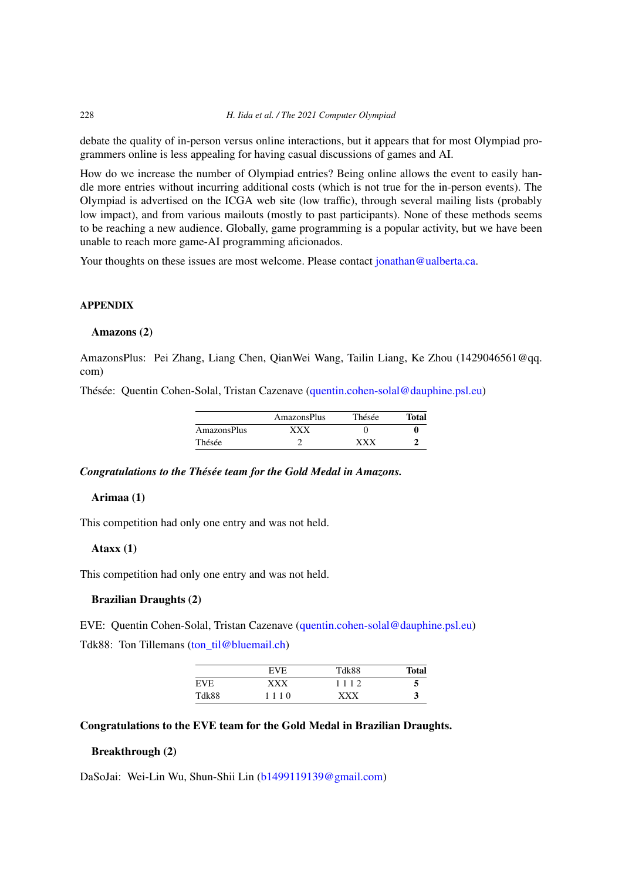debate the quality of in-person versus online interactions, but it appears that for most Olympiad programmers online is less appealing for having casual discussions of games and AI.

How do we increase the number of Olympiad entries? Being online allows the event to easily handle more entries without incurring additional costs (which is not true for the in-person events). The Olympiad is advertised on the ICGA web site (low traffic), through several mailing lists (probably low impact), and from various mailouts (mostly to past participants). None of these methods seems to be reaching a new audience. Globally, game programming is a popular activity, but we have been unable to reach more game-AI programming aficionados.

Your thoughts on these issues are most welcome. Please contact [jonathan@ualberta.ca.](mailto:jonathan@ualberta.ca)

### **APPENDIX**

### **Amazons (2)**

AmazonsPlus: Pei Zhang, Liang Chen, QianWei Wang, Tailin Liang, Ke Zhou (1429046561@qq. com)

Thésée: Quentin Cohen-Solal, Tristan Cazenave [\(quentin.cohen-solal@dauphine.psl.eu](mailto:quentin.cohen-solal@dauphine.psl.eu))

|             | AmazonsPlus | Thésée | <b>Total</b> |
|-------------|-------------|--------|--------------|
| AmazonsPlus | xxx         |        |              |
| Thésée      |             | vvv    |              |

#### *Congratulations to the Thésée team for the Gold Medal in Amazons.*

# **Arimaa (1)**

This competition had only one entry and was not held.

### **Ataxx (1)**

This competition had only one entry and was not held.

# **Brazilian Draughts (2)**

EVE: Quentin Cohen-Solal, Tristan Cazenave ([quentin.cohen-solal@dauphine.psl.eu\)](mailto:quentin.cohen-solal@dauphine.psl.eu) Tdk88: Ton Tillemans [\(ton\\_til@bluemail.ch](mailto:ton_til@bluemail.ch))

|            | EVE  | Tdk88 | <b>Total</b> |
|------------|------|-------|--------------|
| <b>EVE</b> | xxx  | 1112  | 5            |
| Tdk88      | 1110 | xxx   | 3            |

# **Congratulations to the EVE team for the Gold Medal in Brazilian Draughts.**

# **Breakthrough (2)**

DaSoJai: Wei-Lin Wu, Shun-Shii Lin [\(b1499119139@gmail.com](mailto:b1499119139@gmail.com))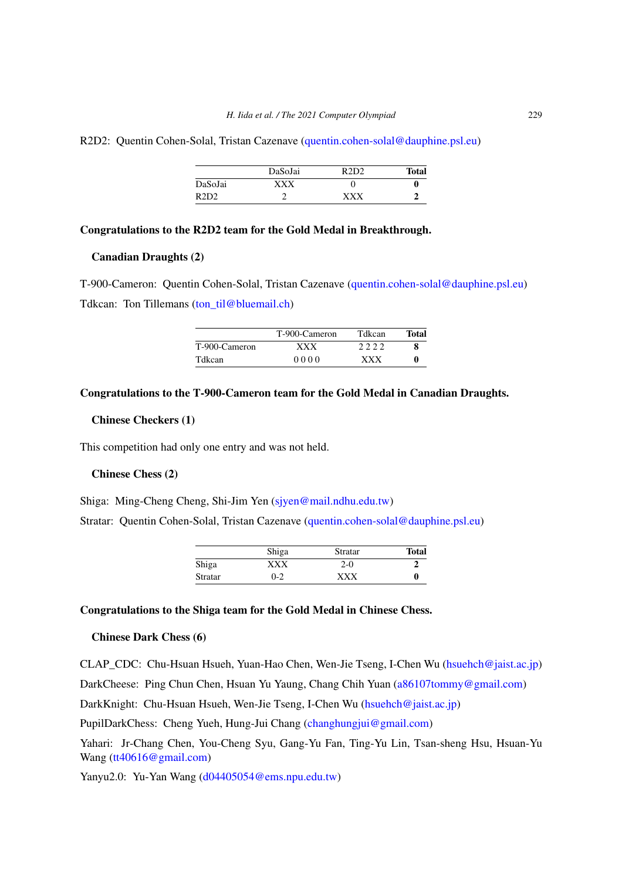#### R2D2: Quentin Cohen-Solal, Tristan Cazenave [\(quentin.cohen-solal@dauphine.psl.eu](mailto:quentin.cohen-solal@dauphine.psl.eu))

|         | DaSoJai | R2D2 | <b>Total</b> |
|---------|---------|------|--------------|
| DaSoJai | xxx     |      |              |
| R2D2    |         | vvv  |              |

#### **Congratulations to the R2D2 team for the Gold Medal in Breakthrough.**

# **Canadian Draughts (2)**

T-900-Cameron: Quentin Cohen-Solal, Tristan Cazenave [\(quentin.cohen-solal@dauphine.psl.eu\)](mailto:quentin.cohen-solal@dauphine.psl.eu) Tdkcan: Ton Tillemans [\(ton\\_til@bluemail.ch](mailto:ton_til@bluemail.ch))

|               | T-900-Cameron | Tdkcan     | Total |
|---------------|---------------|------------|-------|
| T-900-Cameron | <b>XXX</b>    | 2222       |       |
| Tdkcan        | 0000          | <b>XXX</b> |       |

# **Congratulations to the T-900-Cameron team for the Gold Medal in Canadian Draughts.**

# **Chinese Checkers (1)**

This competition had only one entry and was not held.

# **Chinese Chess (2)**

Shiga: Ming-Cheng Cheng, Shi-Jim Yen [\(sjyen@mail.ndhu.edu.tw\)](mailto:sjyen@mail.ndhu.edu.tw)

Stratar: Quentin Cohen-Solal, Tristan Cazenave ([quentin.cohen-solal@dauphine.psl.eu](mailto:quentin.cohen-solal@dauphine.psl.eu))

|         | Shiga   | Stratar    | <b>Total</b> |
|---------|---------|------------|--------------|
| Shiga   | xxx     | $2-0$      |              |
| Stratar | $0 - 2$ | <b>XXX</b> | 0            |

# **Congratulations to the Shiga team for the Gold Medal in Chinese Chess.**

# **Chinese Dark Chess (6)**

CLAP\_CDC: Chu-Hsuan Hsueh, Yuan-Hao Chen, Wen-Jie Tseng, I-Chen Wu [\(hsuehch@jaist.ac.jp](mailto:hsuehch@jaist.ac.jp))

DarkCheese: Ping Chun Chen, Hsuan Yu Yaung, Chang Chih Yuan [\(a86107tommy@gmail.com](mailto:a86107tommy@gmail.com))

DarkKnight: Chu-Hsuan Hsueh, Wen-Jie Tseng, I-Chen Wu [\(hsuehch@jaist.ac.jp\)](mailto:hsuehch@jaist.ac.jp)

PupilDarkChess: Cheng Yueh, Hung-Jui Chang [\(changhungjui@gmail.com](mailto:changhungjui@gmail.com))

Yahari: Jr-Chang Chen, You-Cheng Syu, Gang-Yu Fan, Ting-Yu Lin, Tsan-sheng Hsu, Hsuan-Yu Wang [\(tt40616@gmail.com](mailto:tt40616@gmail.com))

Yanyu2.0: Yu-Yan Wang [\(d04405054@ems.npu.edu.tw\)](mailto:d04405054@ems.npu.edu.tw)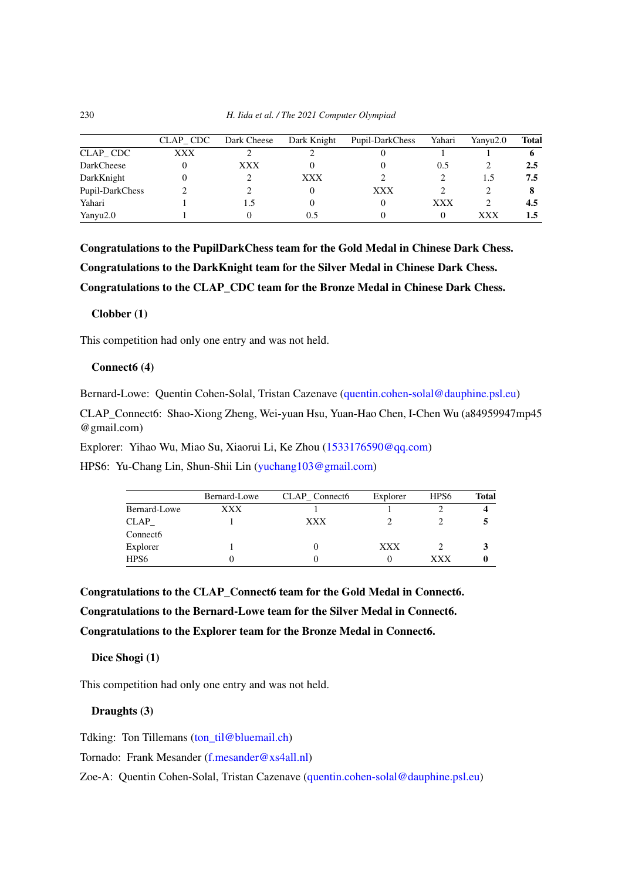|                 | CLAP CDC | Dark Cheese | Dark Knight | Pupil-DarkChess | Yahari | Yanyu2.0 | <b>Total</b> |
|-----------------|----------|-------------|-------------|-----------------|--------|----------|--------------|
| CLAP CDC        | XXX      |             |             |                 |        |          |              |
| DarkCheese      |          | XXX         |             |                 | 0.5    |          | 2.5          |
| DarkKnight      |          |             | <b>XXX</b>  |                 |        | 1.5      | 7.5          |
| Pupil-DarkChess |          |             |             | XXX             |        |          |              |
| Yahari          |          |             |             |                 | XXX    |          | 4.5          |
| Yanyu2.0        |          |             | 0.5         |                 |        | xxx      | 1.5          |

**Congratulations to the PupilDarkChess team for the Gold Medal in Chinese Dark Chess. Congratulations to the DarkKnight team for the Silver Medal in Chinese Dark Chess. Congratulations to the CLAP\_CDC team for the Bronze Medal in Chinese Dark Chess.**

# **Clobber (1)**

This competition had only one entry and was not held.

### **Connect6 (4)**

Bernard-Lowe: Quentin Cohen-Solal, Tristan Cazenave [\(quentin.cohen-solal@dauphine.psl.eu\)](mailto:quentin.cohen-solal@dauphine.psl.eu)

CLAP\_Connect6: Shao-Xiong Zheng, Wei-yuan Hsu, Yuan-Hao Chen, I-Chen Wu (a84959947mp45 @gmail.com)

Explorer: Yihao Wu, Miao Su, Xiaorui Li, Ke Zhou [\(1533176590@qq.com\)](mailto:1533176590@qq.com)

HPS6: Yu-Chang Lin, Shun-Shii Lin ([yuchang103@gmail.com\)](mailto:yuchang103@gmail.com)

|                      | Bernard-Lowe | CLAP Connect6 | Explorer   | HPS6 | Total |
|----------------------|--------------|---------------|------------|------|-------|
| Bernard-Lowe         | XXX          |               |            |      |       |
| <b>CLAP</b>          |              | XXX           |            |      |       |
| Connect <sub>6</sub> |              |               |            |      |       |
| Explorer             |              |               | <b>XXX</b> |      |       |
| HPS <sub>6</sub>     |              |               |            | xxx  |       |

**Congratulations to the CLAP\_Connect6 team for the Gold Medal in Connect6. Congratulations to the Bernard-Lowe team for the Silver Medal in Connect6. Congratulations to the Explorer team for the Bronze Medal in Connect6.**

**Dice Shogi (1)**

This competition had only one entry and was not held.

# **Draughts (3)**

Tdking: Ton Tillemans (ton til@bluemail.ch)

Tornado: Frank Mesander [\(f.mesander@xs4all.nl](mailto:f.mesander@xs4all.nl))

Zoe-A: Quentin Cohen-Solal, Tristan Cazenave ([quentin.cohen-solal@dauphine.psl.eu\)](mailto:quentin.cohen-solal@dauphine.psl.eu)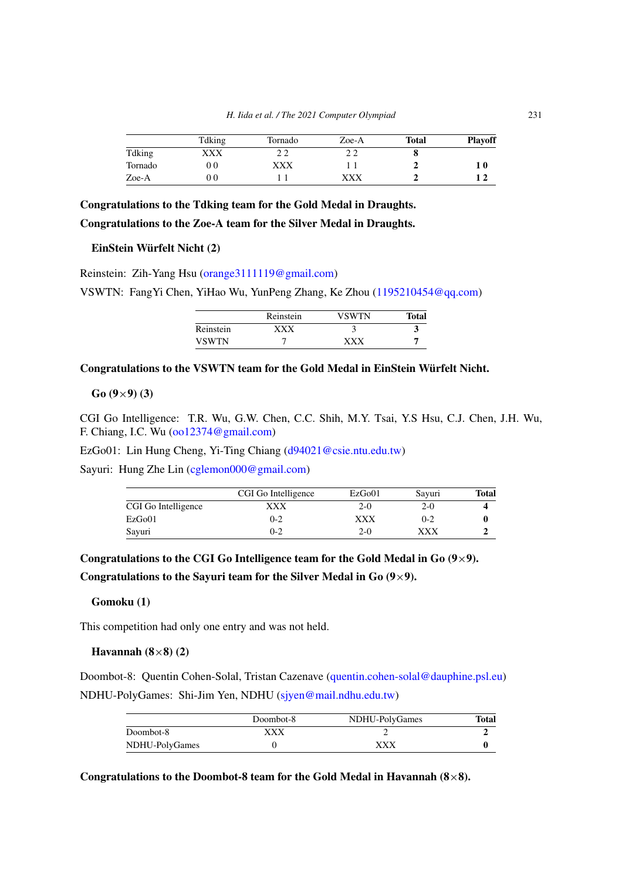|         | Tdking | Tornado | Zoe-A | <b>Total</b> | <b>Playoff</b> |
|---------|--------|---------|-------|--------------|----------------|
| Tdking  | XXX    |         |       |              |                |
| Tornado | 00     | XXX     |       |              | 1 O            |
| Zoe-A   | O G    |         | xxx   |              |                |

# **Congratulations to the Tdking team for the Gold Medal in Draughts. Congratulations to the Zoe-A team for the Silver Medal in Draughts.**

#### **EinStein Würfelt Nicht (2)**

Reinstein: Zih-Yang Hsu ([orange3111119@gmail.com\)](mailto:orange3111119@gmail.com)

VSWTN: FangYi Chen, YiHao Wu, YunPeng Zhang, Ke Zhou [\(1195210454@qq.com\)](mailto:1195210454@qq.com)

|              | Reinstein | VSWTN | <b>Total</b> |
|--------------|-----------|-------|--------------|
| Reinstein    | xxx       |       |              |
| <b>VSWTN</b> |           | YYY   |              |

# **Congratulations to the VSWTN team for the Gold Medal in EinStein Würfelt Nicht.**

**Go (9**×**9) (3)**

CGI Go Intelligence: T.R. Wu, G.W. Chen, C.C. Shih, M.Y. Tsai, Y.S Hsu, C.J. Chen, J.H. Wu, F. Chiang, I.C. Wu [\(oo12374@gmail.com](mailto:oo12374@gmail.com))

EzGo01: Lin Hung Cheng, Yi-Ting Chiang [\(d94021@csie.ntu.edu.tw](mailto:d94021@csie.ntu.edu.tw))

Sayuri: Hung Zhe Lin [\(cglemon000@gmail.com\)](mailto:cglemon000@gmail.com)

|                     | CGI Go Intelligence | EzGo01 | Savuri  | Total |
|---------------------|---------------------|--------|---------|-------|
| CGI Go Intelligence | xxx                 | $2-0$  | 2-0     |       |
| EzGo01              | $0 - 2$             | xxx    | $0 - 2$ |       |
| Sayuri              | $0 - 2$             | $2-0$  | xxx     |       |

Congratulations to the CGI Go Intelligence team for the Gold Medal in Go  $(9\times9)$ .

**Congratulations to the Sayuri team for the Silver Medal in Go (9**×**9).**

# **Gomoku (1)**

This competition had only one entry and was not held.

#### **Havannah (8**×**8) (2)**

Doombot-8: Quentin Cohen-Solal, Tristan Cazenave ([quentin.cohen-solal@dauphine.psl.eu\)](mailto:quentin.cohen-solal@dauphine.psl.eu) NDHU-PolyGames: Shi-Jim Yen, NDHU [\(sjyen@mail.ndhu.edu.tw\)](mailto:sjyen@mail.ndhu.edu.tw)

|                | Doombot-8 | NDHU-PolyGames | Total |
|----------------|-----------|----------------|-------|
| Doombot-8      | xxx       |                |       |
| NDHU-PolyGames |           | xxx            |       |

**Congratulations to the Doombot-8 team for the Gold Medal in Havannah (8**×**8).**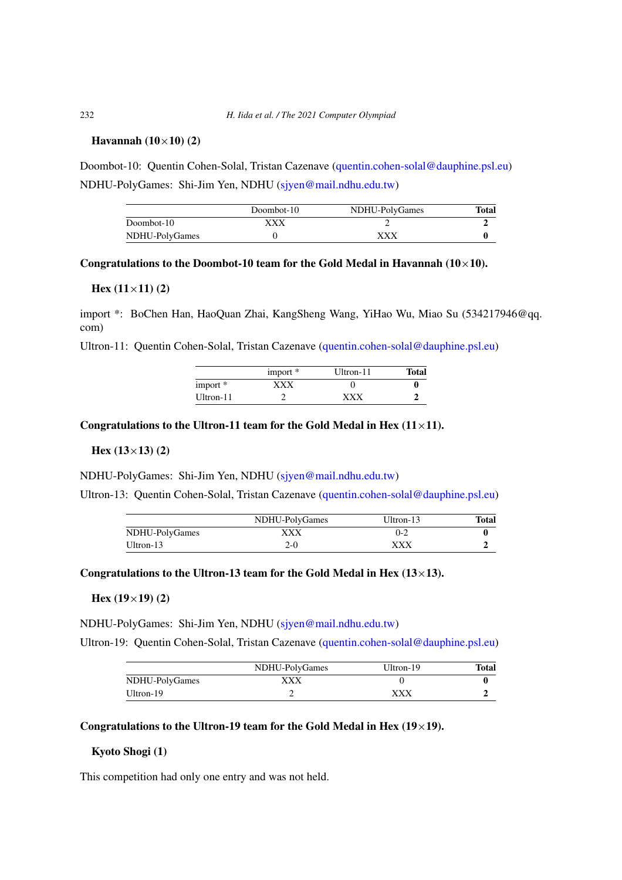# **Havannah (10**×**10) (2)**

Doombot-10: Quentin Cohen-Solal, Tristan Cazenave [\(quentin.cohen-solal@dauphine.psl.eu](mailto:quentin.cohen-solal@dauphine.psl.eu)) NDHU-PolyGames: Shi-Jim Yen, NDHU [\(sjyen@mail.ndhu.edu.tw\)](mailto:sjyen@mail.ndhu.edu.tw)

|                | Doombot-10 | NDHU-PolyGames | Total |
|----------------|------------|----------------|-------|
| Doombot-10     | xxx        |                |       |
| NDHU-PolyGames |            | xxx            |       |

#### Congratulations to the Doombot-10 team for the Gold Medal in Havannah  $(10\times10)$ .

### **Hex (11**×**11) (2)**

import \*: BoChen Han, HaoQuan Zhai, KangSheng Wang, YiHao Wu, Miao Su (534217946@qq. com)

Ultron-11: Quentin Cohen-Solal, Tristan Cazenave ([quentin.cohen-solal@dauphine.psl.eu](mailto:quentin.cohen-solal@dauphine.psl.eu))

|           | import $*$ | Ultron-11 | <b>Total</b> |
|-----------|------------|-----------|--------------|
| import *  | xxx        |           |              |
| Ultron-11 |            | xxx       |              |

### Congratulations to the Ultron-11 team for the Gold Medal in Hex  $(11\times11)$ .

#### **Hex (13**×**13) (2)**

NDHU-PolyGames: Shi-Jim Yen, NDHU [\(sjyen@mail.ndhu.edu.tw\)](mailto:sjyen@mail.ndhu.edu.tw)

Ultron-13: Quentin Cohen-Solal, Tristan Cazenave ([quentin.cohen-solal@dauphine.psl.eu](mailto:quentin.cohen-solal@dauphine.psl.eu))

|                | NDHU-PolyGames | $Ultron-13$ | Total |
|----------------|----------------|-------------|-------|
| NDHU-PolyGames | xxx            | 0-2         |       |
| Ultron-13      | 2-0            | xxx         |       |

# Congratulations to the Ultron-13 team for the Gold Medal in Hex  $(13\times13)$ .

#### **Hex (19**×**19) (2)**

NDHU-PolyGames: Shi-Jim Yen, NDHU [\(sjyen@mail.ndhu.edu.tw\)](mailto:sjyen@mail.ndhu.edu.tw)

Ultron-19: Quentin Cohen-Solal, Tristan Cazenave ([quentin.cohen-solal@dauphine.psl.eu](mailto:quentin.cohen-solal@dauphine.psl.eu))

|                | NDHU-PolyGames | Ultron-19 | Total |
|----------------|----------------|-----------|-------|
| NDHU-PolyGames | xxx            |           |       |
| Ultron-19      |                | xxx       |       |

# Congratulations to the Ultron-19 team for the Gold Medal in Hex  $(19\times19)$ .

# **Kyoto Shogi (1)**

This competition had only one entry and was not held.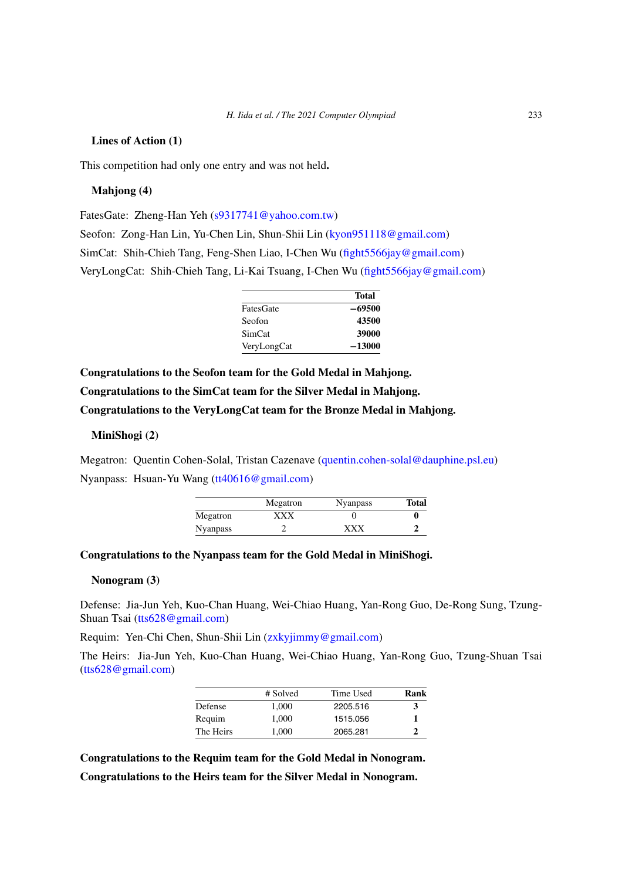### **Lines of Action (1)**

This competition had only one entry and was not held**.**

### **Mahjong (4)**

FatesGate: Zheng-Han Yeh ([s9317741@yahoo.com.tw\)](mailto:s9317741@yahoo.com.tw)

Seofon: Zong-Han Lin, Yu-Chen Lin, Shun-Shii Lin [\(kyon951118@gmail.com](mailto:kyon951118@gmail.com)) SimCat: Shih-Chieh Tang, Feng-Shen Liao, I-Chen Wu [\(fight5566jay@gmail.com](mailto:fight5566jay@gmail.com)) VeryLongCat: Shih-Chieh Tang, Li-Kai Tsuang, I-Chen Wu [\(fight5566jay@gmail.com](mailto:fight5566jay@gmail.com))

|                  | Total    |
|------------------|----------|
| <b>FatesGate</b> | $-69500$ |
| Seofon           | 43500    |
| SimCat           | 39000    |
| VeryLongCat      | $-13000$ |

**Congratulations to the Seofon team for the Gold Medal in Mahjong. Congratulations to the SimCat team for the Silver Medal in Mahjong. Congratulations to the VeryLongCat team for the Bronze Medal in Mahjong.**

# **MiniShogi (2)**

Megatron: Quentin Cohen-Solal, Tristan Cazenave ([quentin.cohen-solal@dauphine.psl.eu\)](mailto:quentin.cohen-solal@dauphine.psl.eu) Nyanpass: Hsuan-Yu Wang ([tt40616@gmail.com](mailto:tt40616@gmail.com))

|                 | Megatron | <b>Nyanpass</b> | <b>Total</b> |
|-----------------|----------|-----------------|--------------|
| Megatron        | xxx      |                 |              |
| <b>Nyanpass</b> |          | xxx             |              |

# **Congratulations to the Nyanpass team for the Gold Medal in MiniShogi.**

### **Nonogram (3)**

Defense: Jia-Jun Yeh, Kuo-Chan Huang, Wei-Chiao Huang, Yan-Rong Guo, De-Rong Sung, Tzung-Shuan Tsai ([tts628@gmail.com](mailto:tts628@gmail.com))

Requim: Yen-Chi Chen, Shun-Shii Lin ([zxkyjimmy@gmail.com](mailto:zxkyjimmy@gmail.com))

The Heirs: Jia-Jun Yeh, Kuo-Chan Huang, Wei-Chiao Huang, Yan-Rong Guo, Tzung-Shuan Tsai [\(tts628@gmail.com\)](mailto:tts628@gmail.com)

|           | # Solved | Time Used | Rank |
|-----------|----------|-----------|------|
| Defense   | 1.000    | 2205.516  |      |
| Requim    | 1.000    | 1515.056  |      |
| The Heirs | 1.000    | 2065.281  |      |

**Congratulations to the Requim team for the Gold Medal in Nonogram.**

**Congratulations to the Heirs team for the Silver Medal in Nonogram.**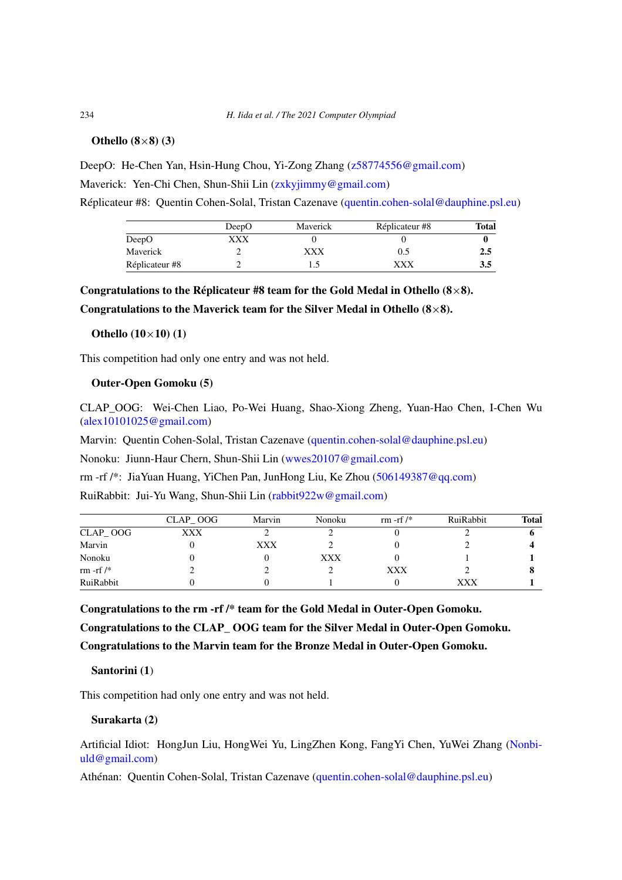### **Othello (8**×**8) (3)**

DeepO: He-Chen Yan, Hsin-Hung Chou, Yi-Zong Zhang ([z58774556@gmail.com](mailto:z58774556@gmail.com)) Maverick: Yen-Chi Chen, Shun-Shii Lin ([zxkyjimmy@gmail.com](mailto:zxkyjimmy@gmail.com))

Réplicateur #8: Quentin Cohen-Solal, Tristan Cazenave ([quentin.cohen-solal@dauphine.psl.eu](mailto:quentin.cohen-solal@dauphine.psl.eu))

|                | DeepO | Maverick | Réplicateur #8 | Total |
|----------------|-------|----------|----------------|-------|
| DeepO          | XXX   |          |                |       |
| Maverick       |       | XXX      | 0.5            | 2.5   |
| Réplicateur #8 |       |          | XXX            | 3.5   |

# **Congratulations to the Réplicateur #8 team for the Gold Medal in Othello (8**×**8).**

**Congratulations to the Maverick team for the Silver Medal in Othello (8**×**8).**

#### **Othello (10**×**10) (1)**

This competition had only one entry and was not held.

# **Outer-Open Gomoku (5)**

CLAP\_OOG: Wei-Chen Liao, Po-Wei Huang, Shao-Xiong Zheng, Yuan-Hao Chen, I-Chen Wu [\(alex10101025@gmail.com\)](mailto:alex10101025@gmail.com)

Marvin: Quentin Cohen-Solal, Tristan Cazenave ([quentin.cohen-solal@dauphine.psl.eu\)](mailto:quentin.cohen-solal@dauphine.psl.eu)

Nonoku: Jiunn-Haur Chern, Shun-Shii Lin ([wwes20107@gmail.com\)](mailto:wwes20107@gmail.com)

rm -rf /\*: JiaYuan Huang, YiChen Pan, JunHong Liu, Ke Zhou [\(506149387@qq.com\)](mailto:506149387@qq.com)

RuiRabbit: Jui-Yu Wang, Shun-Shii Lin [\(rabbit922w@gmail.com\)](mailto:rabbit922w@gmail.com)

|             | CLAP OOG | Marvin | Nonoku | rm -rf $/*$ | RuiRabbit | Total |
|-------------|----------|--------|--------|-------------|-----------|-------|
| CLAP OOG    | XXX      |        |        |             |           |       |
| Marvin      |          | XXX    |        |             |           |       |
| Nonoku      |          |        | XXX    |             |           |       |
| rm -rf $/*$ |          |        |        | XXX         |           |       |
| RuiRabbit   |          |        |        |             | xxx       |       |

**Congratulations to the rm -rf /\* team for the Gold Medal in Outer-Open Gomoku. Congratulations to the CLAP\_ OOG team for the Silver Medal in Outer-Open Gomoku. Congratulations to the Marvin team for the Bronze Medal in Outer-Open Gomoku.**

#### **Santorini (1**)

This competition had only one entry and was not held.

### **Surakarta (2)**

Artificial Idiot: HongJun Liu, HongWei Yu, LingZhen Kong, FangYi Chen, YuWei Zhang ([Nonbi](mailto:Nonbiuld@gmail.com)[uld@gmail.com](mailto:Nonbiuld@gmail.com))

Athénan: Quentin Cohen-Solal, Tristan Cazenave [\(quentin.cohen-solal@dauphine.psl.eu](mailto:quentin.cohen-solal@dauphine.psl.eu))